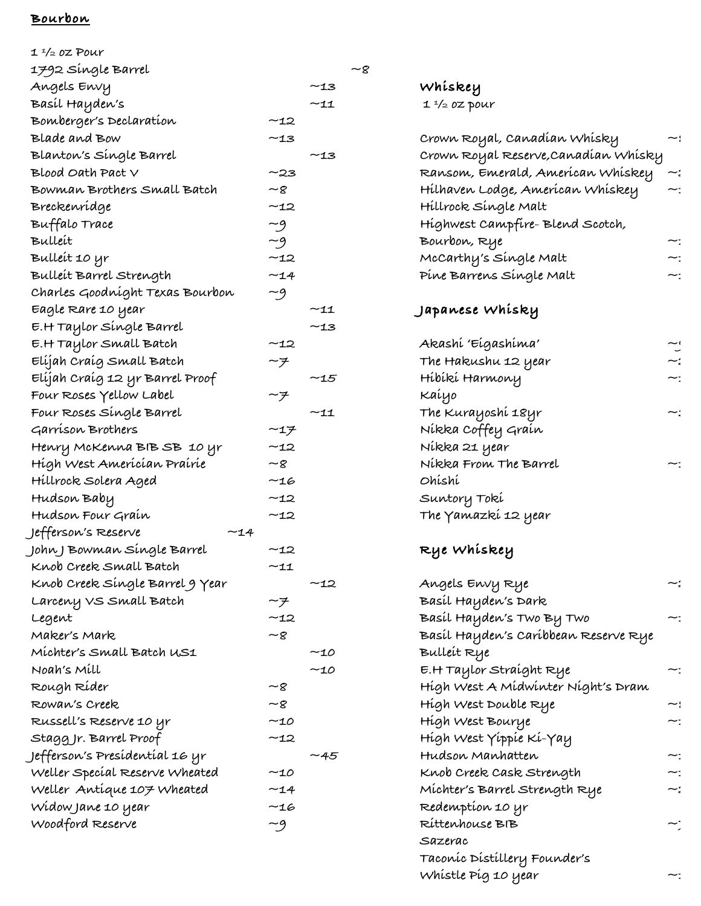### **Bourbon**

| $1\frac{1}{2}$ oz Pour          |          |              |    |
|---------------------------------|----------|--------------|----|
| 1792 Single Barrel              |          |              | ~8 |
| Angels Envy                     |          | ~13          |    |
| Basíl Hayden's                  |          | ~11          |    |
| Bomberger's Declaration         | ~12      |              |    |
| Blade and Bow                   | ~13      |              |    |
| Blanton's Síngle Barrel         |          | -13          |    |
| $Blood$ Oath Pact $V$           | ~23      |              |    |
| Bowman Brothers Small Batch     | -8       |              |    |
| Breckenrídge                    | ~12      |              |    |
| Buffalo Trace                   |          |              |    |
| Bulleit                         | -9<br>-9 |              |    |
| Bulleit 10 yr                   | $-12$    |              |    |
| Bulleit Barrel Strength         | ~14      |              |    |
| Charles Goodníght Texas Bourbon | ~9       |              |    |
| Eagle Rare 10 year              |          | ~11          |    |
| E.H Taylor Síngle Barrel        |          | -13          |    |
| E.H Taylor Small Batch          | ~12      |              |    |
| Elíjah Craíg Small Batch        |          |              |    |
| Elíjah Craíg 12 yr Barrel Proof |          | $-15$        |    |
| Four Roses Yellow Label         |          |              |    |
| Four Roses Single Barrel        |          | $^{\sim}$ 11 |    |
| Garríson Brothers               | ー1ヲ      |              |    |
| Henry McKenna BIB SB 10 yr      | $-12$    |              |    |
| Hígh West Amerícían Praíríe     | ~8       |              |    |
| Hillrock Solera Aged            | ~16      |              |    |
| Hudson Baby                     | ~12      |              |    |
| Hudson Four Graín               | ~12      |              |    |
| Jefferson's Reserve<br>~14      |          |              |    |
| John J Bowman Single Barrel     | ~12      |              |    |
| Knob Creek Small Batch          | ~11      |              |    |
| Knob Creek Single Barrel 9 Year |          | -12          |    |
| Larceny VS Small Batch          | ーチ       |              |    |
| Legent                          | $-12$    |              |    |
| Maker's Mark                    | -8       |              |    |
| Michter's Small Batch US1       |          | ~10          |    |
| Noah's Mill                     |          | $-10$        |    |
| Rough Ríder                     | -8       |              |    |
| Rowan's Creek                   | ~8       |              |    |
| Russell's Reserve 10 yr         | -10      |              |    |
| Stagg Jr. Barrel Proof          | ~12      |              |    |
| Jefferson's Presídentíal 16 yr  |          | -45          |    |
| Weller Special Reserve Wheated  | $-10$    |              |    |
| Weller Antique 107 Wheated      | ~14      |              |    |
| Widow Jane 10 year              | ~16      |              |    |
| Woodford Reserve                | ~9       |              |    |
|                                 |          |              |    |

# **Whiskey**

 **1 ½ oz pour**

| Crown Royal, Canadían Whísky<br>$\tilde{\phantom{a}}$<br>Crown Royal Reserve,Canadían Whísky<br>Ransom, Emerald, American Whiskey<br>~:<br>Hilhaven Lodge, American Whiskey<br>∼:<br>Hillrock Single Malt<br>Highwest Campfire-Blend Scotch,<br>Bourbon, Rye<br>~:<br>McCarthy's Síngle Malt<br>~:<br>Píne Barrens Síngle Malt<br>~: |
|--------------------------------------------------------------------------------------------------------------------------------------------------------------------------------------------------------------------------------------------------------------------------------------------------------------------------------------|
|                                                                                                                                                                                                                                                                                                                                      |
|                                                                                                                                                                                                                                                                                                                                      |
|                                                                                                                                                                                                                                                                                                                                      |
|                                                                                                                                                                                                                                                                                                                                      |
|                                                                                                                                                                                                                                                                                                                                      |
|                                                                                                                                                                                                                                                                                                                                      |
|                                                                                                                                                                                                                                                                                                                                      |
|                                                                                                                                                                                                                                                                                                                                      |
|                                                                                                                                                                                                                                                                                                                                      |
| Japanese Whisky                                                                                                                                                                                                                                                                                                                      |
|                                                                                                                                                                                                                                                                                                                                      |
| Akashi 'Eigashima'                                                                                                                                                                                                                                                                                                                   |
| .<br>پر<br>The Hakushu 12 year                                                                                                                                                                                                                                                                                                       |
| Híbíkí Harmony<br>~:                                                                                                                                                                                                                                                                                                                 |
| Kaiyo                                                                                                                                                                                                                                                                                                                                |
| The Kurayoshi 18yr<br>~:                                                                                                                                                                                                                                                                                                             |
| Níkka Coffey Graín                                                                                                                                                                                                                                                                                                                   |
| Níkka 21 year                                                                                                                                                                                                                                                                                                                        |
| Nikka From The Barrel<br>~:                                                                                                                                                                                                                                                                                                          |
| Ohíshí                                                                                                                                                                                                                                                                                                                               |
| Suntory Toki                                                                                                                                                                                                                                                                                                                         |
| The Yamazkí 12 year                                                                                                                                                                                                                                                                                                                  |
| Rye Whiskey                                                                                                                                                                                                                                                                                                                          |
|                                                                                                                                                                                                                                                                                                                                      |
| Angels Envy Rye<br>~:                                                                                                                                                                                                                                                                                                                |
| Basíl Hayden's Dark                                                                                                                                                                                                                                                                                                                  |
| Basíl Hayden's Two By Two<br>~:                                                                                                                                                                                                                                                                                                      |
| Basíl Hayden's Caríbbean Reserve Rye                                                                                                                                                                                                                                                                                                 |
| Bulleit Rye                                                                                                                                                                                                                                                                                                                          |
| E.H Taylor Straíght Rye<br>~:                                                                                                                                                                                                                                                                                                        |
| Hígh West A Mídwínter Níght's Dram                                                                                                                                                                                                                                                                                                   |
| High West Double Rye<br>~:                                                                                                                                                                                                                                                                                                           |
| High West Bourye<br>~:                                                                                                                                                                                                                                                                                                               |
|                                                                                                                                                                                                                                                                                                                                      |
| Hígh West Yíppíe Kí-Yay                                                                                                                                                                                                                                                                                                              |
| Hudson Manhatten<br>~:                                                                                                                                                                                                                                                                                                               |
| Knob Creek Cask Strength                                                                                                                                                                                                                                                                                                             |
| Míchter's Barrel Strength Rye<br>~:                                                                                                                                                                                                                                                                                                  |
| Redemptíon 10 yr                                                                                                                                                                                                                                                                                                                     |
| Ríttenhouse BIB                                                                                                                                                                                                                                                                                                                      |
| Sazerac                                                                                                                                                                                                                                                                                                                              |
| Taconic Distillery Founder's                                                                                                                                                                                                                                                                                                         |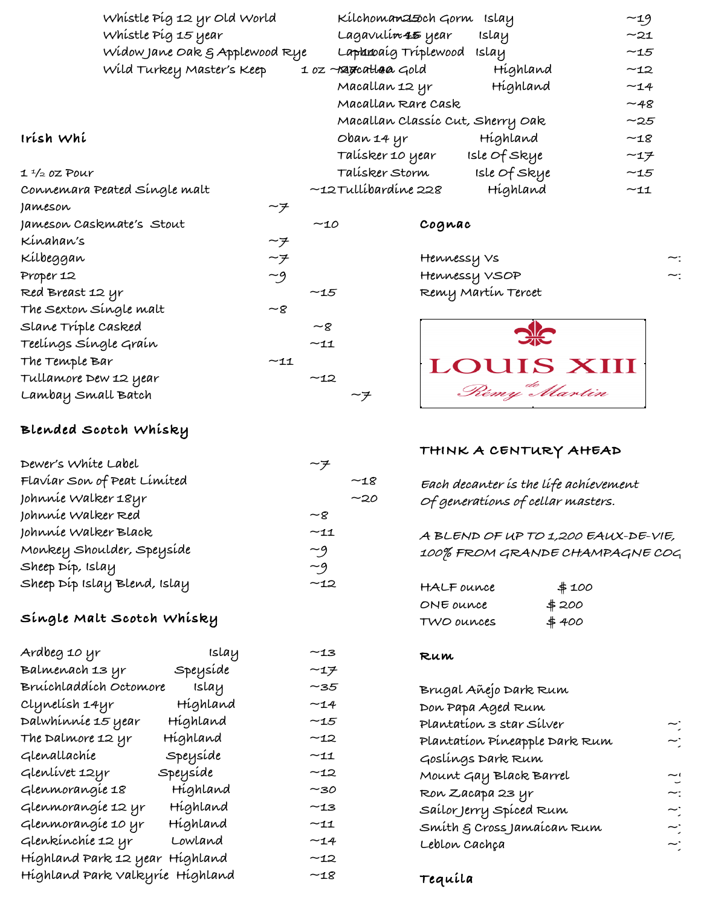|             | Whistle Pig 12 yr Old World    |     | Kilchomanasoch Gorm           | islay                            | $-19$ |
|-------------|--------------------------------|-----|-------------------------------|----------------------------------|-------|
|             | Whistle Pig 15 year            |     | Lagavulí <del>n 45</del> year | islay                            | $-21$ |
|             | Widow Jane Oak & Applewood Rye |     | Laphanoaíg Tríplewood         | islay                            | $-15$ |
|             | Wild Turkey Master's Keep      |     | 1 oz - ragratlara Gold        | Highland                         | $-12$ |
|             |                                |     | Macallan 12 yr                | Highland                         | $-14$ |
|             |                                |     | Macallan Rare Cask            |                                  | $-48$ |
|             |                                |     |                               | Macallan Classic Cut, Sherry Oak | $-25$ |
| ırísh Whí   |                                |     | Oban 14 yr                    | Highland                         | $-18$ |
|             |                                |     | Talísker 10 year              | Isle Of Skye                     | $-17$ |
| 1 ½ 0Z Pour |                                |     | Talísker Storm                | Isle Of Skye                     | $-15$ |
|             | Connemara Peated Síngle malt   |     | $-$ 12 $T$ ullíbardíne 228    | Highland                         | $-11$ |
| Jameson     | ーチ                             |     |                               |                                  |       |
|             | Jameson Caskmate's Stout       | ~10 | Cognac                        |                                  |       |
|             |                                |     |                               |                                  |       |

#### **Irish Whi**

|  |  |  | $1\frac{1}{2}$ oz Pour |  |
|--|--|--|------------------------|--|
|--|--|--|------------------------|--|

| Jameson |  |
|---------|--|
|---------|--|

- **Jameson Co**  $Kinahaw's$   $\sim$  7 **Kilbeggan ~7 Proper 12 ~9 Red Breast 12 yr ~15**  $The$  Sexton Single malt  $\sim$ 8 **Slane Triple Casked ~8**
- **Teelings Single Grain ~11 The Temple Bar ~11 Tullamore Dew 12 year ~12 Lambay Small Batch ~7**

# **Blended Scotch Whisky**

| Dewer's White Label          | ーヲ   |       |
|------------------------------|------|-------|
| Flaviar Son of Peat Limited  |      | $-18$ |
| Johnníe Walker 18yr          |      | ~20   |
| Johnnie Walker Red           | ~8   |       |
| Johnnie Walker Black         | ~11  |       |
| Monkey Shoulder, Speysíde    | $-9$ |       |
| Sheep Dip, Islay             | $-9$ |       |
| Sheep Dip Islay Blend, Islay | ~12  |       |

# **Single Malt Scotch Whisky**

| Ardbeg 10 yr                    | islay    | $-13$        |
|---------------------------------|----------|--------------|
| Balmenach 13 yr                 | Speyside | $-17$        |
| Bruíchladdích Octomore          | islay    | ~35          |
| Clynelísh 14yr                  | Híghland | ~14          |
| Dalwhínníe 15 year              | Híghland | ~15          |
| The Dalmore 12 yr               | Híghland | ~12          |
| Glenallachíe                    | Speysíde | $\sim$ 11    |
| Glenlivet 12yr                  | Speysíde | $-12$        |
| Glenmorangie 18                 | Highland | ~30          |
| Glenmorangie 12 yr              | Híghland | ~13          |
| Glenmorangie 10 yr              | Híghland | $^{\sim}$ 11 |
| Glenkínchíe 12 yr               | Lowland  | $-14$        |
| Híghland Park 12 year           | Híghland | $-12$        |
| Híghland Park Valkyríe Híghland |          | $~\sim$ 18   |

| <b>aphroaig Triplewood</b>      | islay        | $\sim$ 15 |  |
|---------------------------------|--------------|-----------|--|
| <del>a</del> catlara Gold       | Híghland     | $-12$     |  |
| acallan 12 yr                   | Híghland     | $-14$     |  |
| acallan Rare Cask               |              | $-48$     |  |
| acallan Classíc Cut, Sherry Oak |              | $-25$     |  |
| oan 14 yr                       | Híghland     | $-18$     |  |
| ilísker 10 year                 | isle Of Skye | $-17$     |  |
| alísker Storm                   | isle Of Skye | $-15$     |  |
| illíbardíne 228                 | Híghland     | $-11$     |  |
| Cognac                          |              |           |  |
| Hennessy Vs                     |              |           |  |
| Hennessy VSOP                   |              |           |  |

**Remy Martin Tercet ~25**



### **THINK A CENTURY AHEAD**

| Each decanter is the life achievement |  |
|---------------------------------------|--|
| Of generations of cellar masters.     |  |

**A BLEND OF UP TO 1,200 EAUX-DE-VIE,**  100% FROM GRANDE CHAMPAGNE COG

| <b>HALF OUNCE</b> | \$100 |
|-------------------|-------|
| ONE ounce         | \$200 |
| TWO ounces        | #400  |

#### **Rum**

| Brugal Añejo Dark Rum         |                             |
|-------------------------------|-----------------------------|
| Don Papa Aged Rum             |                             |
| Plantation 3 star Silver      | ~:                          |
| Plantation Pineapple Dark Rum | $\widetilde{\phantom{a}}$ . |
| Goslíngs Dark Rum             |                             |
| Mount Gay Black Barrel        | ،۔                          |
| Ron Zacapa 23 yr              | ~:                          |
| Sailor Jerry Spiced Rum       | ~`                          |
| Smíth & Cross Jamaícan Rum    | ~`                          |
| Leblon Cachça                 | ~:                          |
|                               |                             |

**Tequila**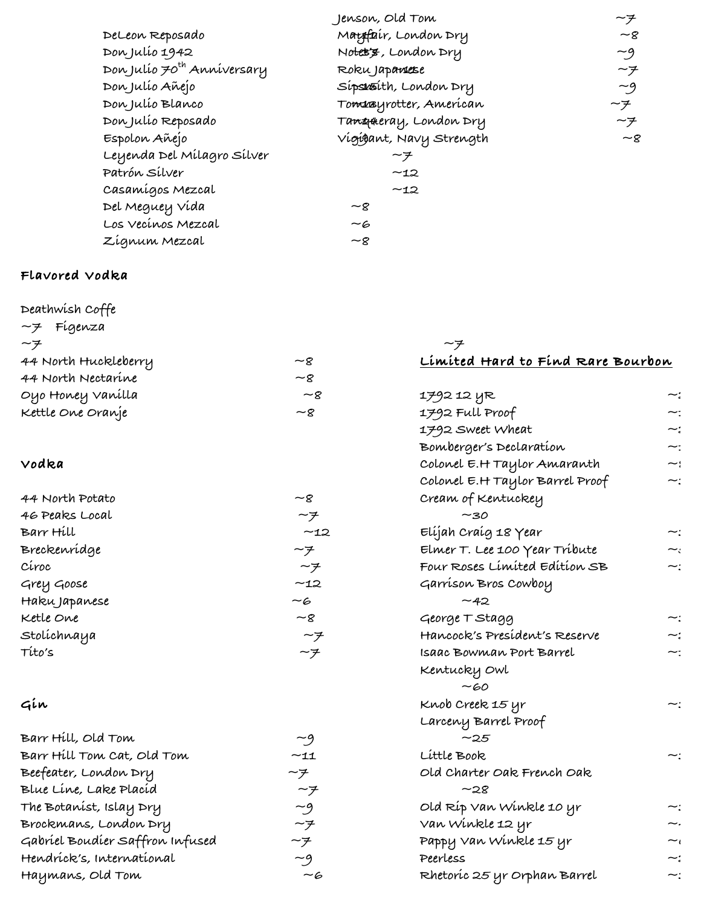|                                        | Jenson, Old Tom                    | ーチ             |
|----------------------------------------|------------------------------------|----------------|
| DeLeon Reposado                        | M <del>auff</del> air, London Dry  | $\sim$ 8       |
| Don Julio 1942                         | Notes's, London Dry                | $-9$           |
| Don Julío 70 <sup>th</sup> Anniversary | Roku Japaneese                     | ーチ             |
| Don Julio Añejo                        | Sípskaíth, London Dry              | $-9$           |
| Don Julio Blanco                       | Tomræyrotter, Amerícan             | ーチ             |
| Don Julío Reposado                     | Ta <del>nga</del> eray, London Dry | ーチ             |
| Espolon Añejo                          | Vígígant, Navy Strength            | $-\mathcal{R}$ |
| Leyenda Del Mílagro Sílver             | ーチ                                 |                |
| Patrón Sílver                          | ~12                                |                |
| Casamígos Mezcal                       | ~12                                |                |
| Del Meguey Vída                        | $-\mathcal{g}$                     |                |
| Los Vecínos Mezcal                     | -6                                 |                |
| Zígnum Mezcal                          | $\sim$ 8                           |                |

#### **Flavored Vodka**

| Deathwish Coffe            |                 |                                   |    |
|----------------------------|-----------------|-----------------------------------|----|
| ~7 Fígenza                 |                 |                                   |    |
| $\sim$ 7                   |                 | ーチ                                |    |
| 44 North Huckleberry       | $\sim$ g        | Limited Hard to Find Rare Bourbon |    |
| 44 North Nectarine         | $\sim$ 8        |                                   |    |
| Oyo Honey Vanílla          | $-\epsilon$     | 1792 12 YR                        | ~: |
| Kettle One Oranje          | $-8$            | 1792 Full Proof                   | ∼: |
|                            |                 | 1792 Sweet Wheat                  | ~: |
|                            |                 | Bomberger's Declaration           |    |
| Vodka                      |                 | Colonel E.H Taylor Amaranth       | بہ |
|                            |                 | Colonel E.H Taylor Barrel Proof   | ∼: |
| 44 North Potato            | $\sim$ 8        | Cream of Kentuckey                |    |
| 46 Peaks Local             | ーチ              | ~130                              |    |
| Barr Hill                  | $-12$           | Elíjah Craíg 18 Year              |    |
| Breckenrídge               | ーチ              | Elmer T. Lee 100 Year Tribute     |    |
| Círoc                      | $-\overline{z}$ | Four Roses Limited Edition SB     | ~: |
| Grey Goose                 | $-12$           | Garríson Bros Cowboy              |    |
| Haku Japanese              | $-\epsilon$     | $-42$                             |    |
| Ketle One                  | $\sim$ g        | George T Stagg                    | ∼: |
| Stolíchnaya                | $\sim$ 7        | Hancock's Presídent's Reserve     |    |
| Títo's                     | $-\overline{z}$ | Isaac Bowman Port Barrel          | ∼: |
|                            |                 | Kentucky Owl                      |    |
|                            |                 | $-60$                             |    |
| Gín                        |                 | Knob Creek 15 yr                  | ∼: |
|                            |                 | Larceny Barrel Proof              |    |
| Barr Hill, Old Tom         | $-9$            | $-25$                             |    |
| Barr Hill Tom Cat, Old Tom | $-11$           | Little Book                       | ∼: |
| Beefeater, London Dry      | ーチ              | Old Charter Oak French Oak        |    |
| Blue Line, Lake Placíd     | ーチ              | $-28$                             |    |
| The Botanist, Islay Dry    | $-9$            | Old Ríp Van Winkle 10 yr          |    |
| Brockmans, London Dry      | $\sim$ 7        | Van Winkle 12 yr                  |    |

**Pappy Van Winkle 15 yr ~60 Peerless ~20 Rhetoric 25 yr Orphan Barrel ~30**

Hendrick's, International  $\begin{array}{cc}\n-\mathcal{G} \\
\hline\n\end{array}$ **Haymans, Old Tom ~6**

**Gabriel Boudier Saffron Infused ~7**